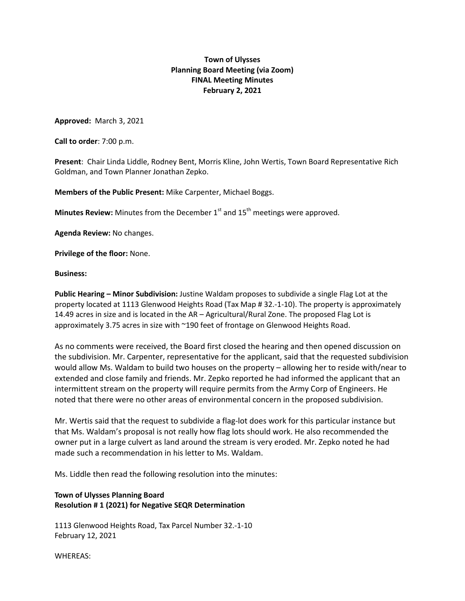## **Town of Ulysses Planning Board Meeting (via Zoom) FINAL Meeting Minutes February 2, 2021**

**Approved:** March 3, 2021

**Call to order**: 7:00 p.m.

**Present**: Chair Linda Liddle, Rodney Bent, Morris Kline, John Wertis, Town Board Representative Rich Goldman, and Town Planner Jonathan Zepko.

**Members of the Public Present:** Mike Carpenter, Michael Boggs.

**Minutes Review:** Minutes from the December 1<sup>st</sup> and 15<sup>th</sup> meetings were approved.

**Agenda Review:** No changes.

**Privilege of the floor:** None.

**Business:**

**Public Hearing – Minor Subdivision:** Justine Waldam proposes to subdivide a single Flag Lot at the property located at 1113 Glenwood Heights Road (Tax Map # 32.-1-10). The property is approximately 14.49 acres in size and is located in the AR – Agricultural/Rural Zone. The proposed Flag Lot is approximately 3.75 acres in size with ~190 feet of frontage on Glenwood Heights Road.

As no comments were received, the Board first closed the hearing and then opened discussion on the subdivision. Mr. Carpenter, representative for the applicant, said that the requested subdivision would allow Ms. Waldam to build two houses on the property – allowing her to reside with/near to extended and close family and friends. Mr. Zepko reported he had informed the applicant that an intermittent stream on the property will require permits from the Army Corp of Engineers. He noted that there were no other areas of environmental concern in the proposed subdivision.

Mr. Wertis said that the request to subdivide a flag-lot does work for this particular instance but that Ms. Waldam's proposal is not really how flag lots should work. He also recommended the owner put in a large culvert as land around the stream is very eroded. Mr. Zepko noted he had made such a recommendation in his letter to Ms. Waldam.

Ms. Liddle then read the following resolution into the minutes:

## **Town of Ulysses Planning Board Resolution # 1 (2021) for Negative SEQR Determination**

1113 Glenwood Heights Road, Tax Parcel Number 32.-1-10 February 12, 2021

WHEREAS: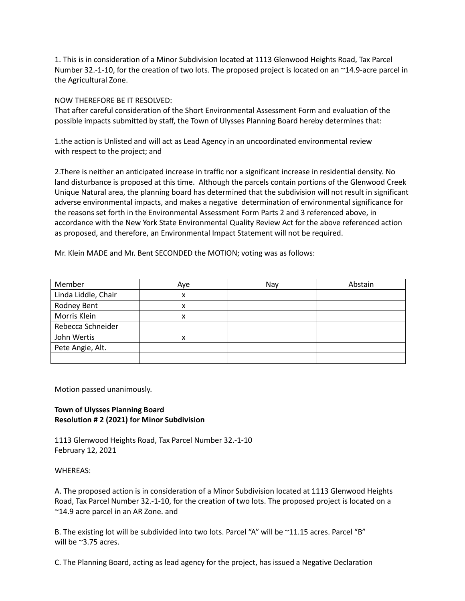1. This is in consideration of a Minor Subdivision located at 1113 Glenwood Heights Road, Tax Parcel Number 32.-1-10, for the creation of two lots. The proposed project is located on an ~14.9-acre parcel in the Agricultural Zone.

NOW THEREFORE BE IT RESOLVED:

That after careful consideration of the Short Environmental Assessment Form and evaluation of the possible impacts submitted by staff, the Town of Ulysses Planning Board hereby determines that:

1.the action is Unlisted and will act as Lead Agency in an uncoordinated environmental review with respect to the project; and

2.There is neither an anticipated increase in traffic nor a significant increase in residential density. No land disturbance is proposed at this time. Although the parcels contain portions of the Glenwood Creek Unique Natural area, the planning board has determined that the subdivision will not result in significant adverse environmental impacts, and makes a negative determination of environmental significance for the reasons set forth in the Environmental Assessment Form Parts 2 and 3 referenced above, in accordance with the New York State Environmental Quality Review Act for the above referenced action as proposed, and therefore, an Environmental Impact Statement will not be required.

Mr. Klein MADE and Mr. Bent SECONDED the MOTION; voting was as follows:

| Member              | Aye | Nay | Abstain |
|---------------------|-----|-----|---------|
| Linda Liddle, Chair | x   |     |         |
| Rodney Bent         | x   |     |         |
| Morris Klein        | x   |     |         |
| Rebecca Schneider   |     |     |         |
| John Wertis         | x   |     |         |
| Pete Angie, Alt.    |     |     |         |
|                     |     |     |         |

Motion passed unanimously.

## **Town of Ulysses Planning Board Resolution # 2 (2021) for Minor Subdivision**

1113 Glenwood Heights Road, Tax Parcel Number 32.-1-10 February 12, 2021

## WHEREAS:

A. The proposed action is in consideration of a Minor Subdivision located at 1113 Glenwood Heights Road, Tax Parcel Number 32.-1-10, for the creation of two lots. The proposed project is located on a ~14.9 acre parcel in an AR Zone. and

B. The existing lot will be subdivided into two lots. Parcel "A" will be ~11.15 acres. Parcel "B" will be ~3.75 acres.

C. The Planning Board, acting as lead agency for the project, has issued a Negative Declaration